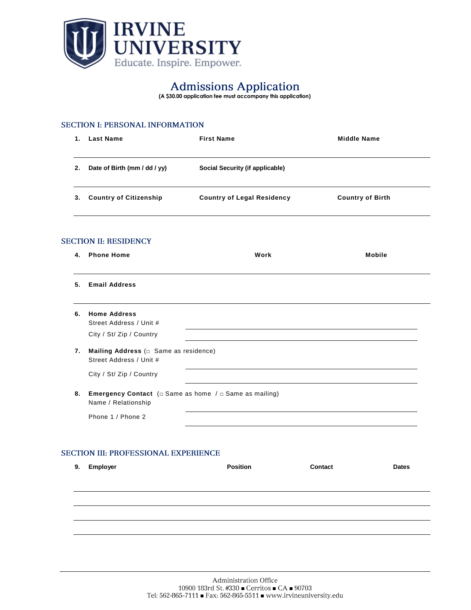

# **(A \$30.00 application fee must accompany this application)**

## **SECTION I: PERSONAL INFORMATION**

|                                             | 1.                                                                                                    | <b>Last Name</b>              | <b>First Name</b>                      | <b>Middle Name</b>      |  |  |  |  |  |  |  |
|---------------------------------------------|-------------------------------------------------------------------------------------------------------|-------------------------------|----------------------------------------|-------------------------|--|--|--|--|--|--|--|
|                                             | 2.                                                                                                    | Date of Birth (mm / dd / yy)  | <b>Social Security (if applicable)</b> |                         |  |  |  |  |  |  |  |
|                                             | 3.                                                                                                    | <b>Country of Citizenship</b> | <b>Country of Legal Residency</b>      | <b>Country of Birth</b> |  |  |  |  |  |  |  |
| <b>SECTION II: RESIDENCY</b>                |                                                                                                       |                               |                                        |                         |  |  |  |  |  |  |  |
|                                             | 4.                                                                                                    | <b>Phone Home</b>             | Work                                   | <b>Mobile</b>           |  |  |  |  |  |  |  |
|                                             | 5.                                                                                                    | <b>Email Address</b>          |                                        |                         |  |  |  |  |  |  |  |
|                                             | <b>Home Address</b><br>6.<br>Street Address / Unit #                                                  |                               |                                        |                         |  |  |  |  |  |  |  |
|                                             |                                                                                                       | City / St/ Zip / Country      |                                        |                         |  |  |  |  |  |  |  |
|                                             | 7.<br>Mailing Address ( $\square$ Same as residence)<br>Street Address / Unit #                       |                               |                                        |                         |  |  |  |  |  |  |  |
|                                             |                                                                                                       | City / St/ Zip / Country      |                                        |                         |  |  |  |  |  |  |  |
|                                             | <b>Emergency Contact</b> ( $\Box$ Same as home / $\Box$ Same as mailing)<br>8.<br>Name / Relationship |                               |                                        |                         |  |  |  |  |  |  |  |
|                                             |                                                                                                       | Phone 1 / Phone 2             |                                        |                         |  |  |  |  |  |  |  |
|                                             |                                                                                                       |                               |                                        |                         |  |  |  |  |  |  |  |
| <b>SECTION III: PROFESSIONAL EXPERIENCE</b> |                                                                                                       |                               |                                        |                         |  |  |  |  |  |  |  |
|                                             | 9.                                                                                                    | <b>Employer</b>               | <b>Position</b>                        | Contact<br><b>Dates</b> |  |  |  |  |  |  |  |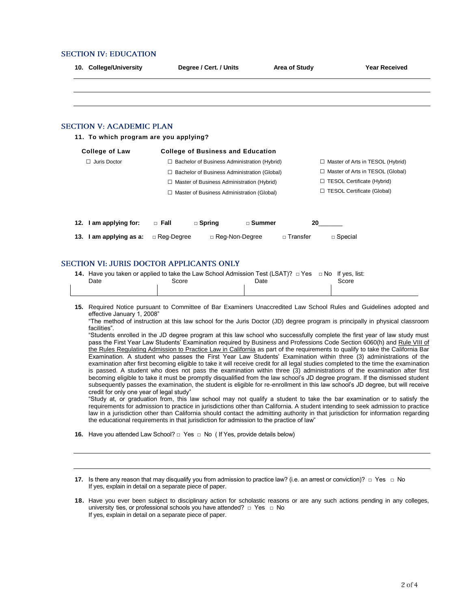#### **SECTION IV: EDUCATION**

S

S

|     | 10. College/University                  |                                                                                                               | Degree / Cert. / Units                              |          | <b>Area of Study</b> | <b>Year Received</b>               |
|-----|-----------------------------------------|---------------------------------------------------------------------------------------------------------------|-----------------------------------------------------|----------|----------------------|------------------------------------|
|     |                                         |                                                                                                               |                                                     |          |                      |                                    |
|     |                                         |                                                                                                               |                                                     |          |                      |                                    |
|     | <b>ECTION V: ACADEMIC PLAN</b>          |                                                                                                               |                                                     |          |                      |                                    |
|     | 11. To which program are you applying?  |                                                                                                               |                                                     |          |                      |                                    |
|     | <b>College of Law</b>                   |                                                                                                               | <b>College of Business and Education</b>            |          |                      |                                    |
|     | $\Box$ Juris Doctor                     |                                                                                                               | $\Box$ Bachelor of Business Administration (Hybrid) |          |                      | □ Master of Arts in TESOL (Hybrid) |
|     |                                         | □ Bachelor of Business Administration (Global)                                                                |                                                     |          |                      | □ Master of Arts in TESOL (Global) |
|     |                                         | $\Box$ Master of Business Administration (Hybrid)                                                             |                                                     |          |                      | □ TESOL Certificate (Hybrid)       |
|     |                                         |                                                                                                               | □ Master of Business Administration (Global)        |          |                      | □ TESOL Certificate (Global)       |
|     | 12. I am applying for:                  | $\Box$ Fall                                                                                                   | $\Box$ Spring                                       | □ Summer | 20                   |                                    |
| 13. | I am applying as a:                     | □ Reg-Degree                                                                                                  | □ Reg-Non-Degree                                    |          | □ Transfer           | $\Box$ Special                     |
|     |                                         |                                                                                                               |                                                     |          |                      |                                    |
|     | ECTION VI: JURIS DOCTOR APPLICANTS ONLY |                                                                                                               |                                                     |          |                      |                                    |
|     | Date                                    | 14. Have you taken or applied to take the Law School Admission Test (LSAT)? □ Yes □ No If yes, list:<br>Score |                                                     | Date     |                      | Score                              |
|     |                                         |                                                                                                               |                                                     |          |                      |                                    |

- **15.** Required Notice pursuant to Committee of Bar Examiners Unaccredited Law School Rules and Guidelines adopted and effective January 1, 2008"
	- "The method of instruction at this law school for the Juris Doctor (JD) degree program is principally in physical classroom facilities".

"Students enrolled in the JD degree program at this law school who successfully complete the first year of law study must pass the First Year Law Students' Examination required by Business and Professions Code Section 6060(h) and Rule VIII of the Rules Regulating Admission to Practice Law in California as part of the requirements to qualify to take the California Bar Examination. A student who passes the First Year Law Students' Examination within three (3) administrations of the examination after first becoming eligible to take it will receive credit for all legal studies completed to the time the examination is passed. A student who does not pass the examination within three (3) administrations of the examination after first becoming eligible to take it must be promptly disqualified from the law school's JD degree program. If the dismissed student subsequently passes the examination, the student is eligible for re-enrollment in this law school's JD degree, but will receive credit for only one year of legal study"

"Study at, or graduation from, this law school may not qualify a student to take the bar examination or to satisfy the requirements for admission to practice in jurisdictions other than California. A student intending to seek admission to practice law in a jurisdiction other than California should contact the admitting authority in that jurisdiction for information regarding the educational requirements in that jurisdiction for admission to the practice of law"

**16.** Have you attended Law School? □ Yes □ No ( If Yes, provide details below)

**<sup>17.</sup>** Is there any reason that may disqualify you from admission to practice law? (i.e. an arrest or conviction)? □ Yes □ No If yes, explain in detail on a separate piece of paper.

**<sup>18.</sup>** Have you ever been subject to disciplinary action for scholastic reasons or are any such actions pending in any colleges, university ties, or professional schools you have attended? □ Yes □ No If yes, explain in detail on a separate piece of paper.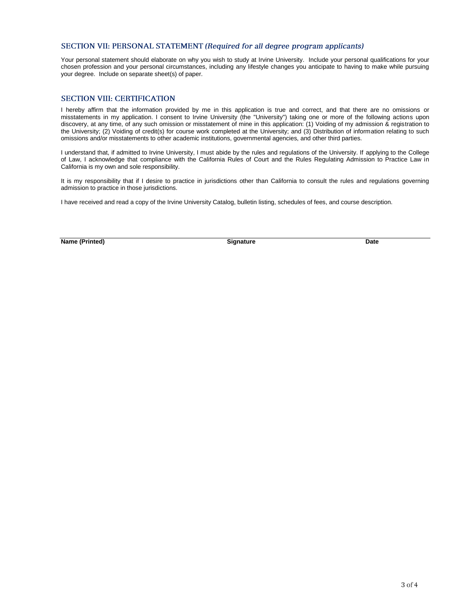#### SECTION VII: PERSONAL STATEMENT (Required for all degree program applicants)

Your personal statement should elaborate on why you wish to study at Irvine University. Include your personal qualifications for your chosen profession and your personal circumstances, including any lifestyle changes you anticipate to having to make while pursuing your degree. Include on separate sheet(s) of paper.

### **SECTION VIII: CERTIFICATION**

I hereby affirm that the information provided by me in this application is true and correct, and that there are no omissions or misstatements in my application. I consent to Irvine University (the "University") taking one or more of the following actions upon discovery, at any time, of any such omission or misstatement of mine in this application: (1) Voiding of my admission & registration to the University; (2) Voiding of credit(s) for course work completed at the University; and (3) Distribution of information relating to such omissions and/or misstatements to other academic institutions, governmental agencies, and other third parties.

I understand that, if admitted to Irvine University, I must abide by the rules and regulations of the University. If applying to the College of Law, I acknowledge that compliance with the California Rules of Court and the Rules Regulating Admission to Practice Law in California is my own and sole responsibility.

It is my responsibility that if I desire to practice in jurisdictions other than California to consult the rules and regulations governing admission to practice in those jurisdictions.

I have received and read a copy of the Irvine University Catalog, bulletin listing, schedules of fees, and course description.

**Name (Printed) Date Date Date Date Date Date Date Date Date Date**